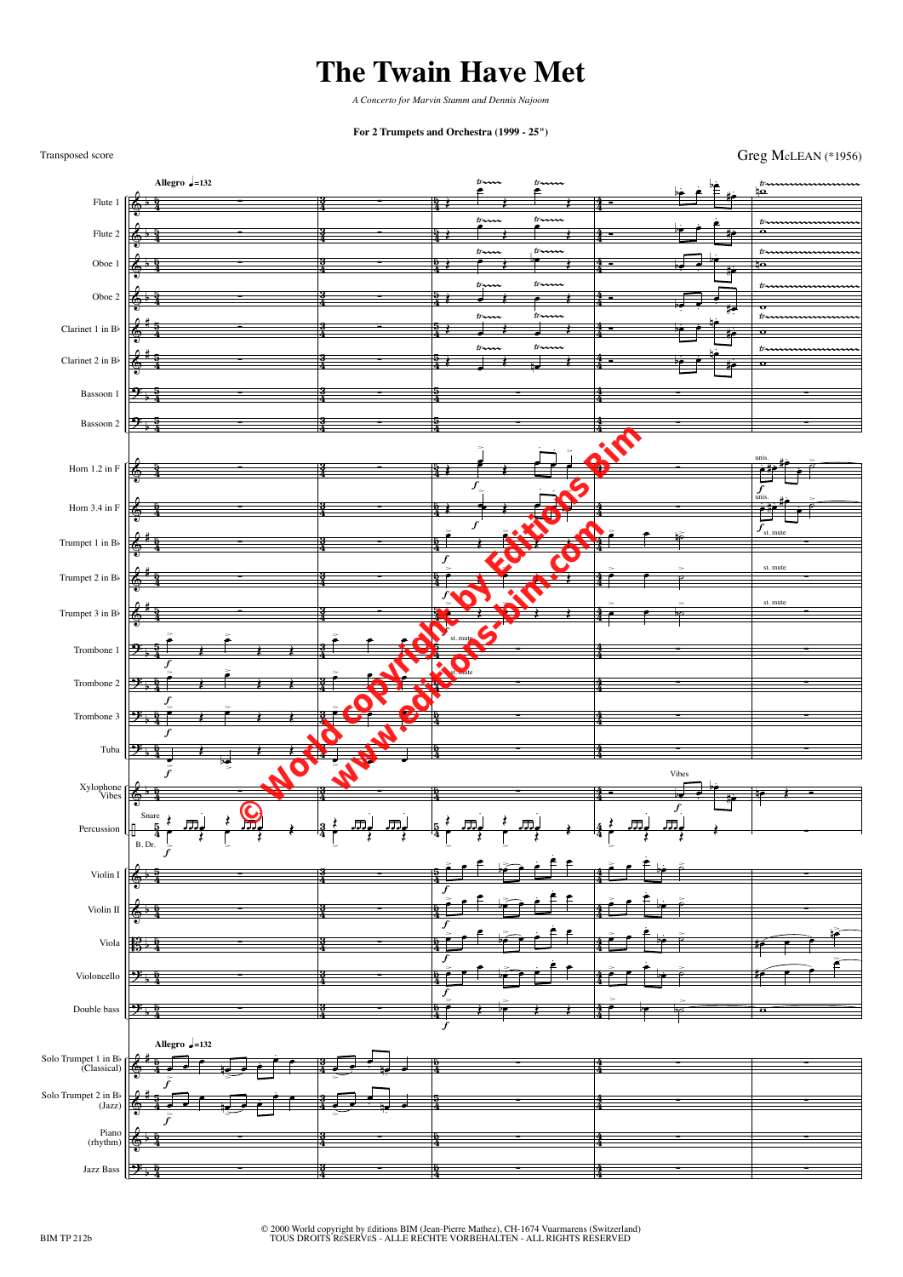

BIM TP 212b

## **The Twain Have Met**

*A Concerto for Marvin Stamm and Dennis Najoom*

## **For 2 Trumpets and Orchestra (1999 - 25")**

© 2000 World copyright by Éditions BIM (Jean-Pierre Mathez), CH-1674 Vuarmarens (Switzerland) TOUS DROITS RÉSERVÉS - ALLE RECHTE VORBEHALTEN - ALL RIGHTS RESERVED

Greg McLEAN (\*1956)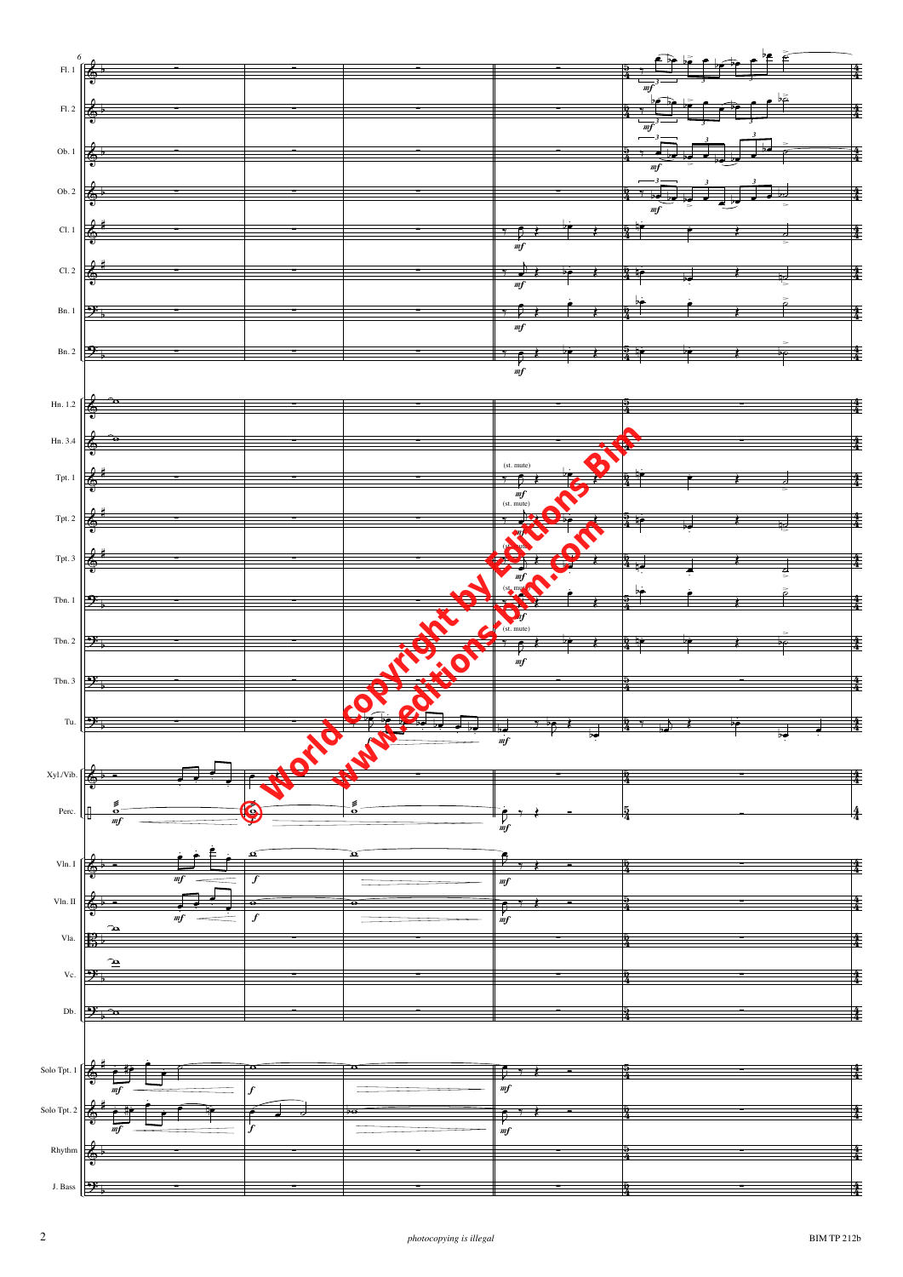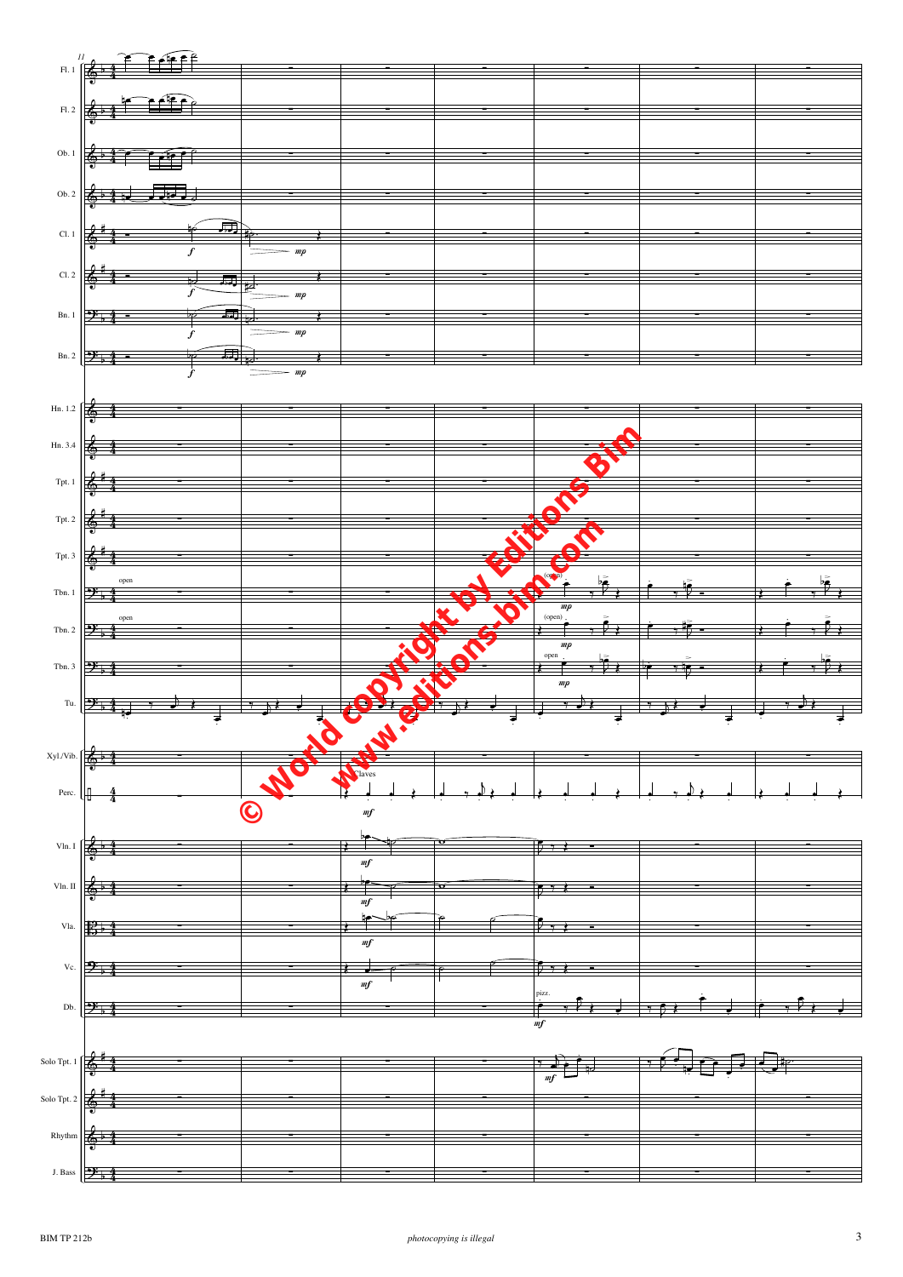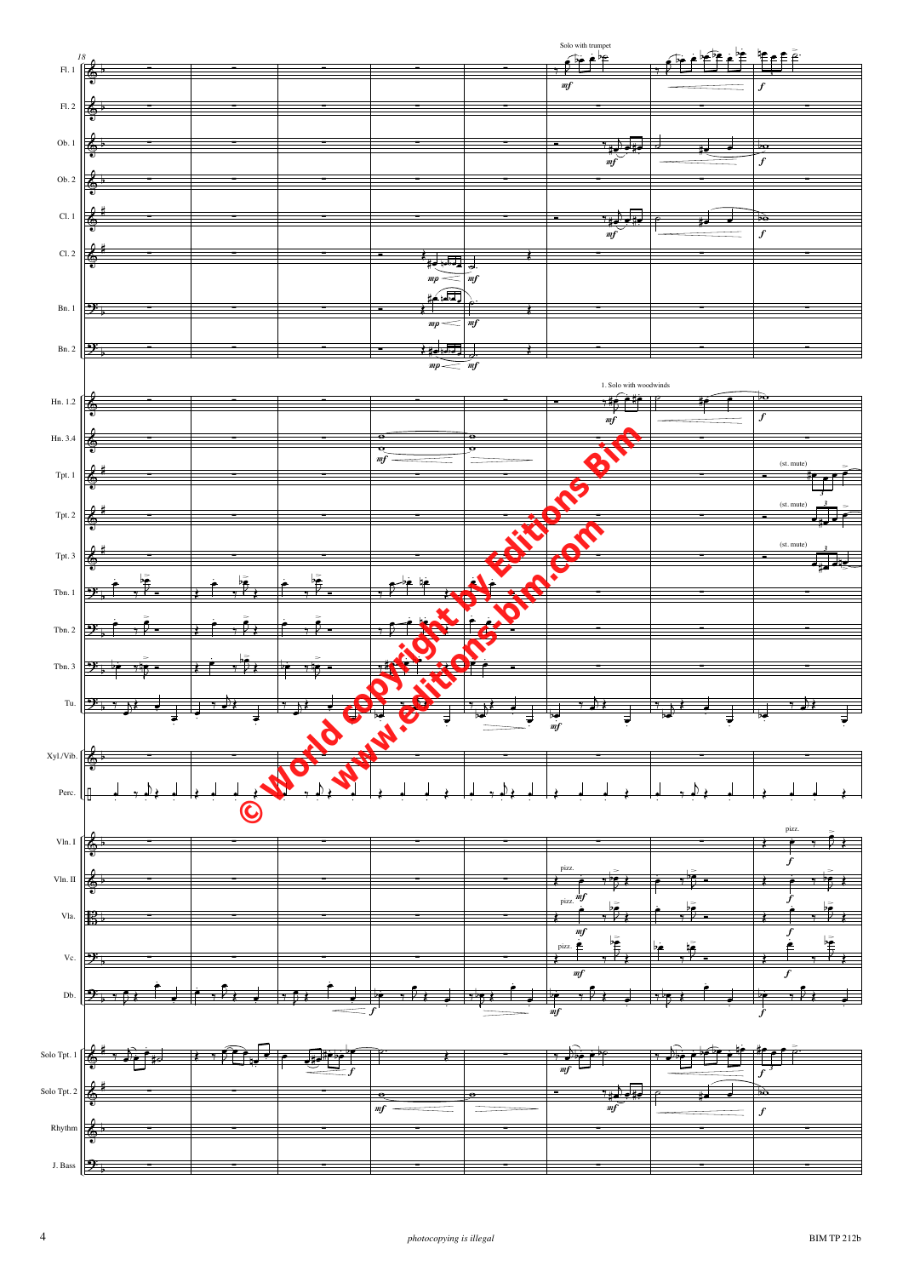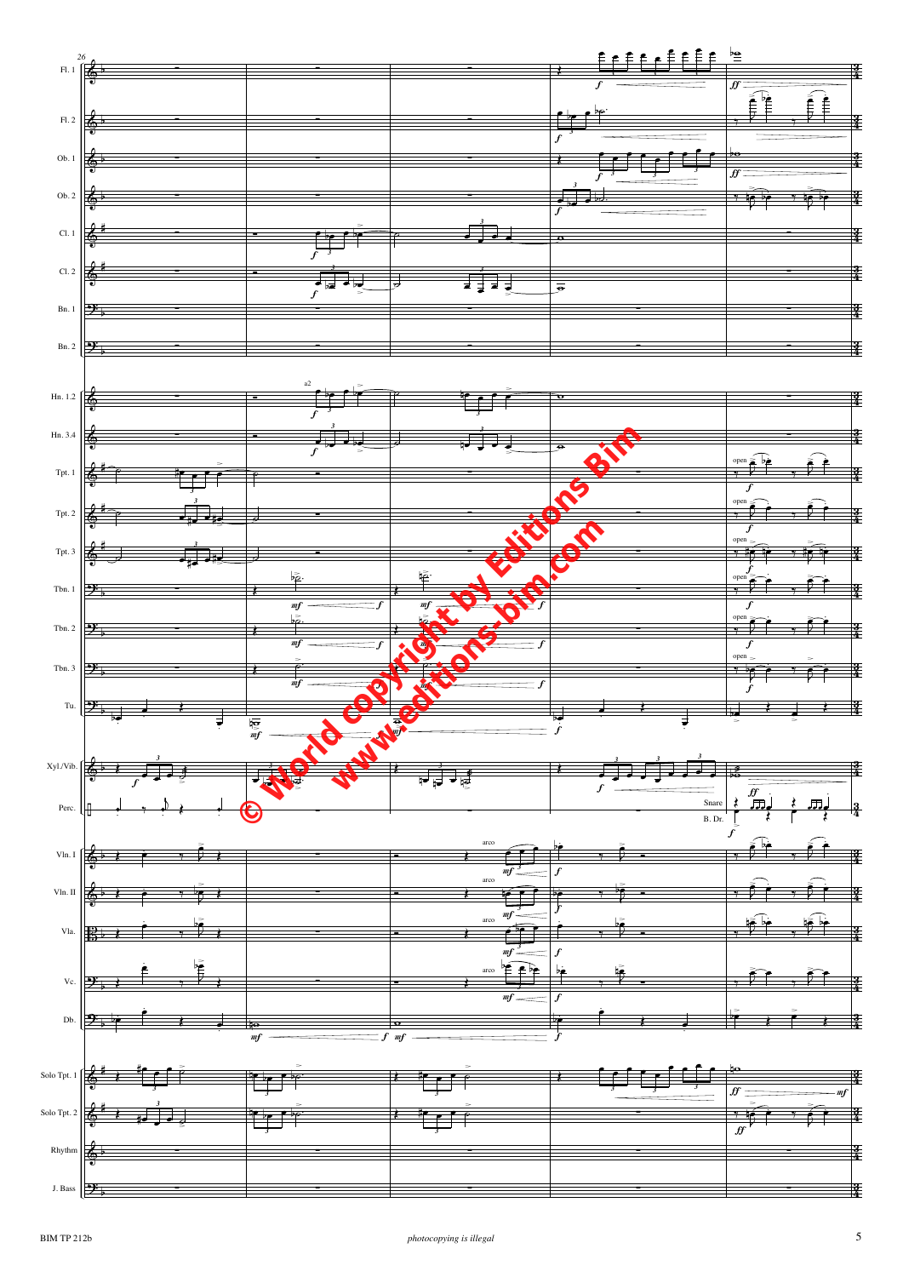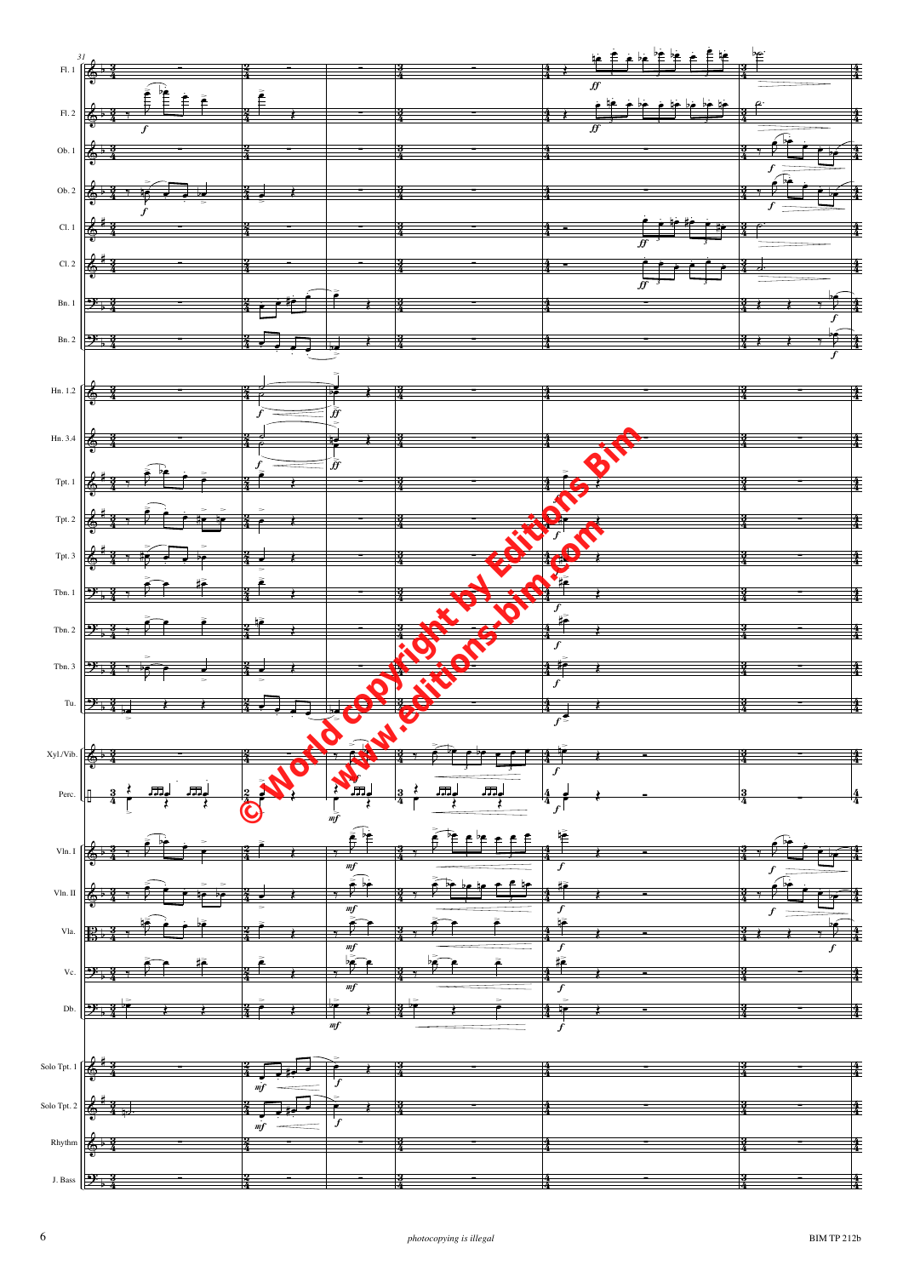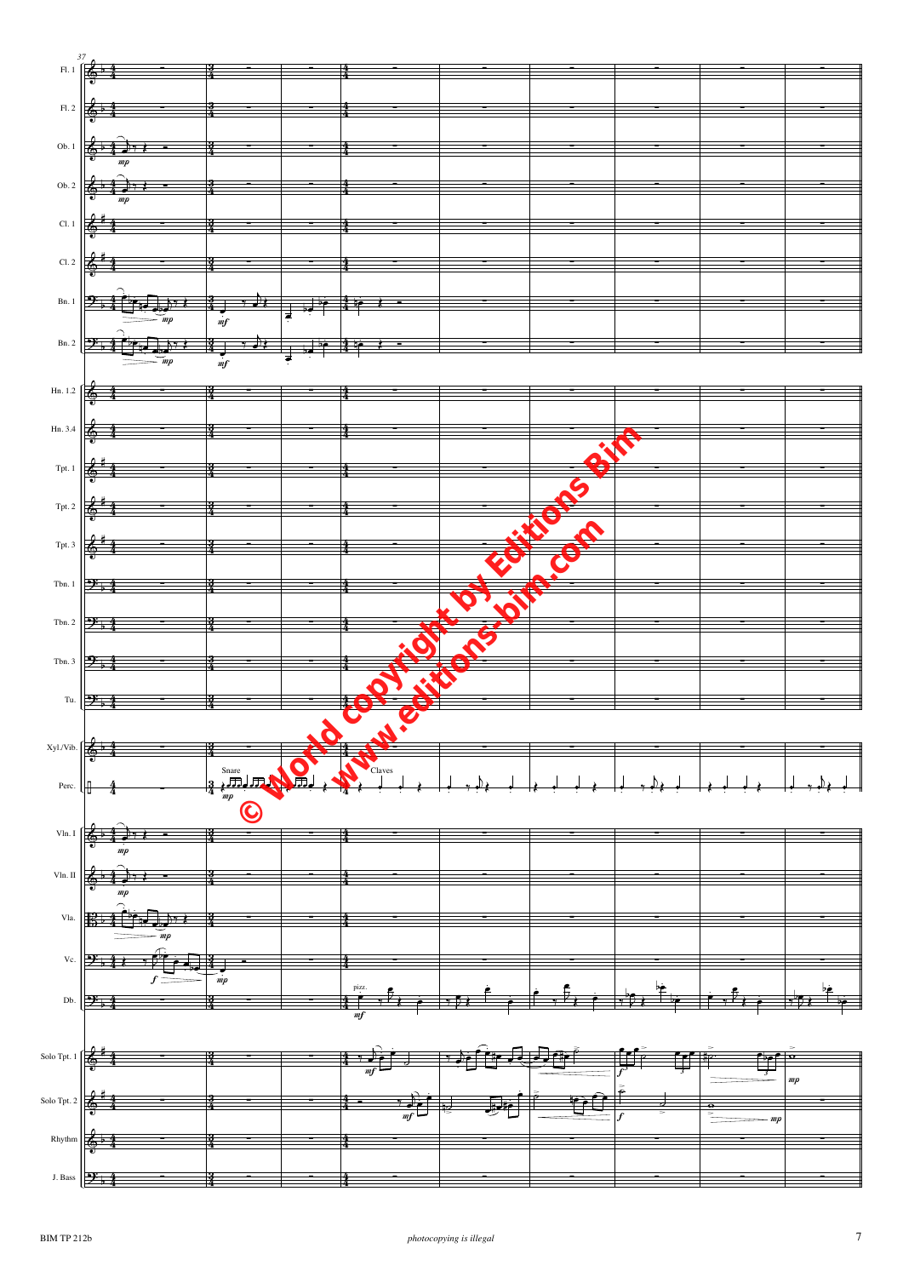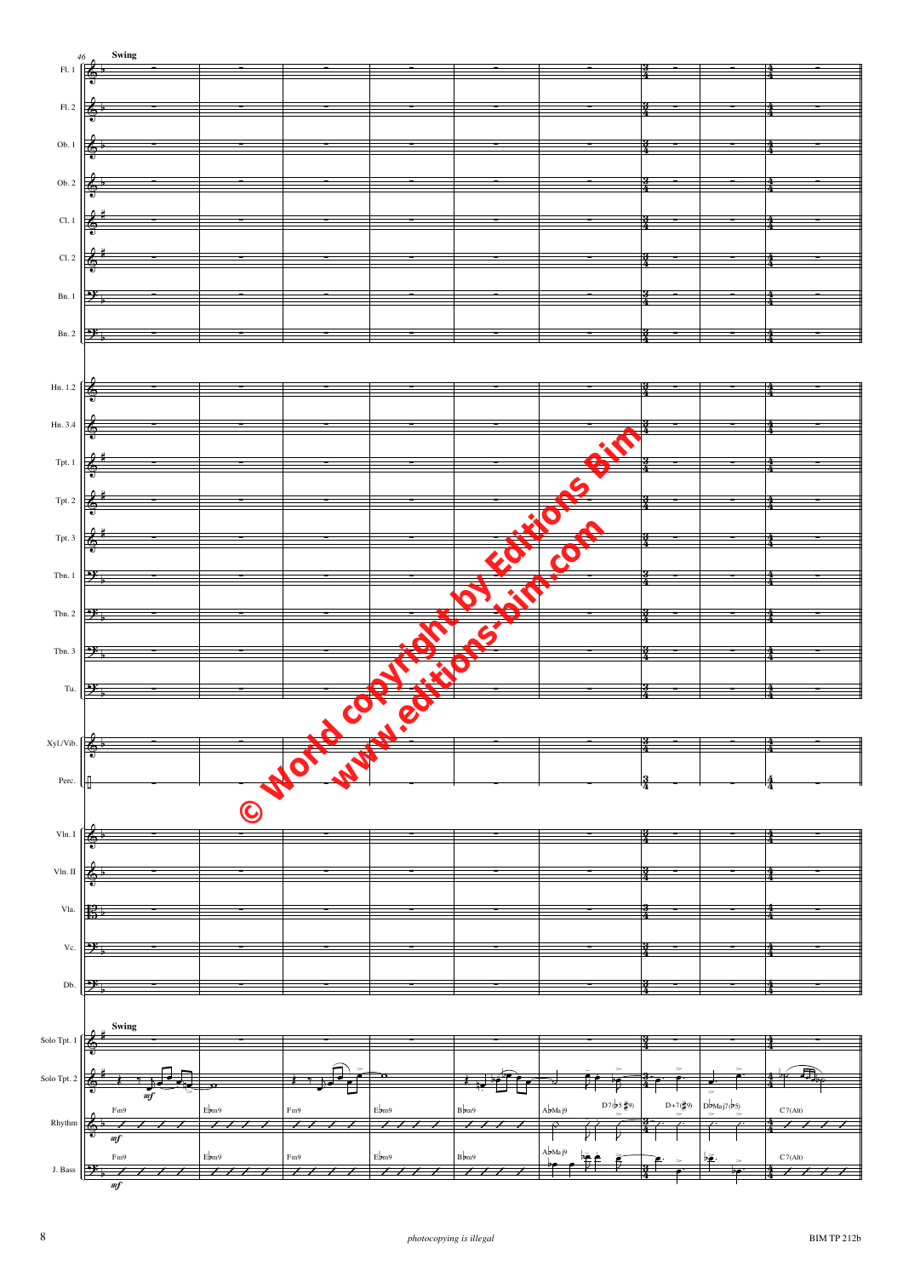



 $\,8\,$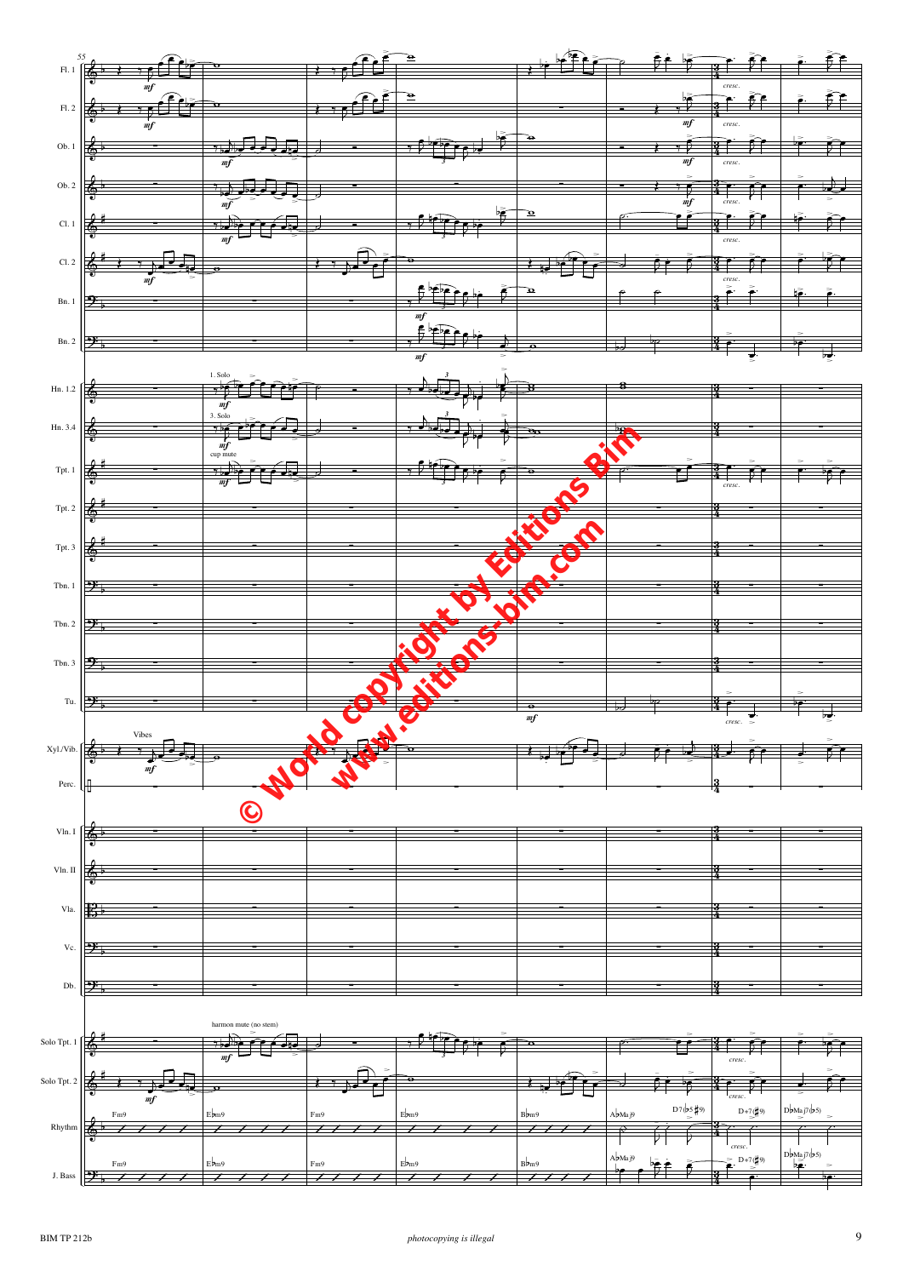



BIM TP 212b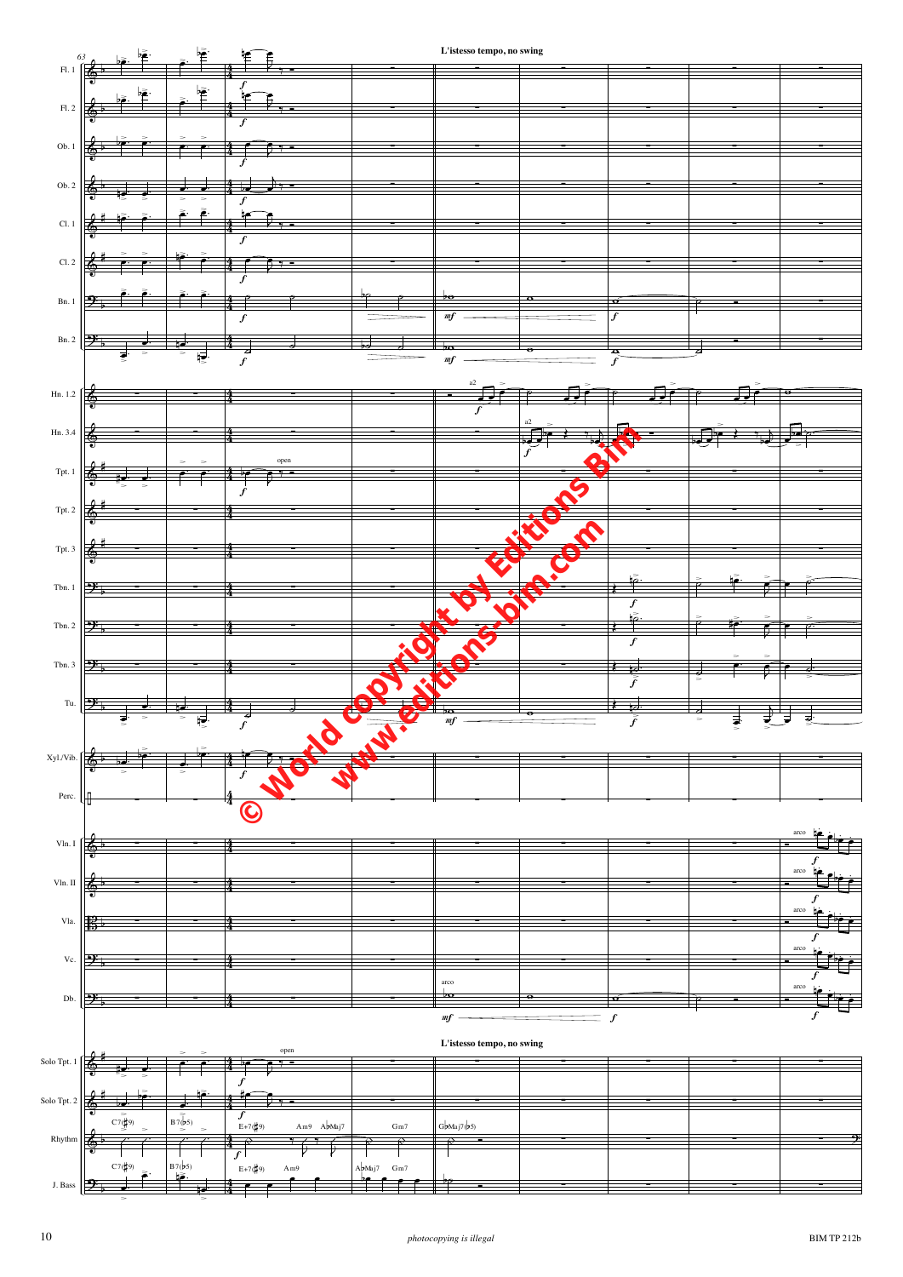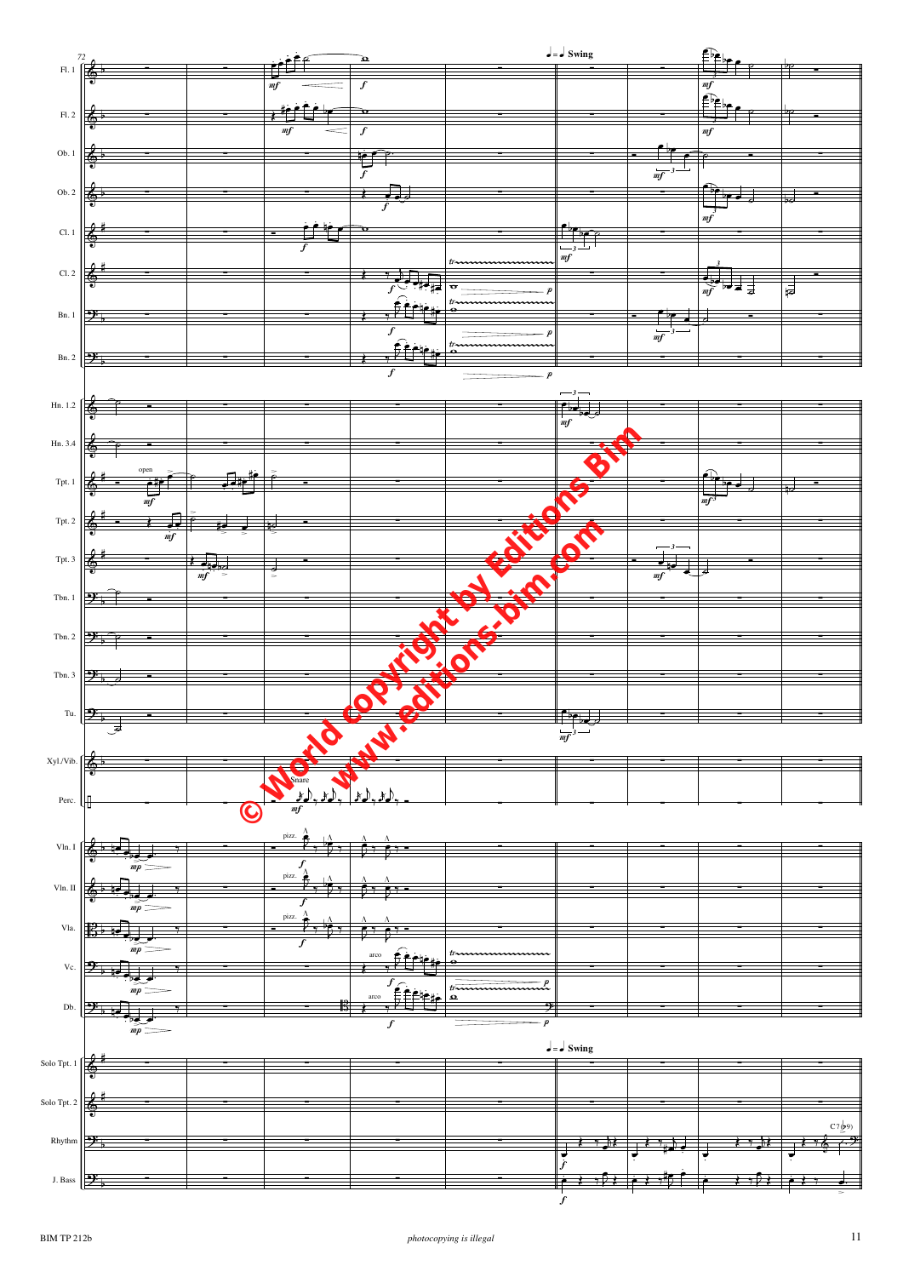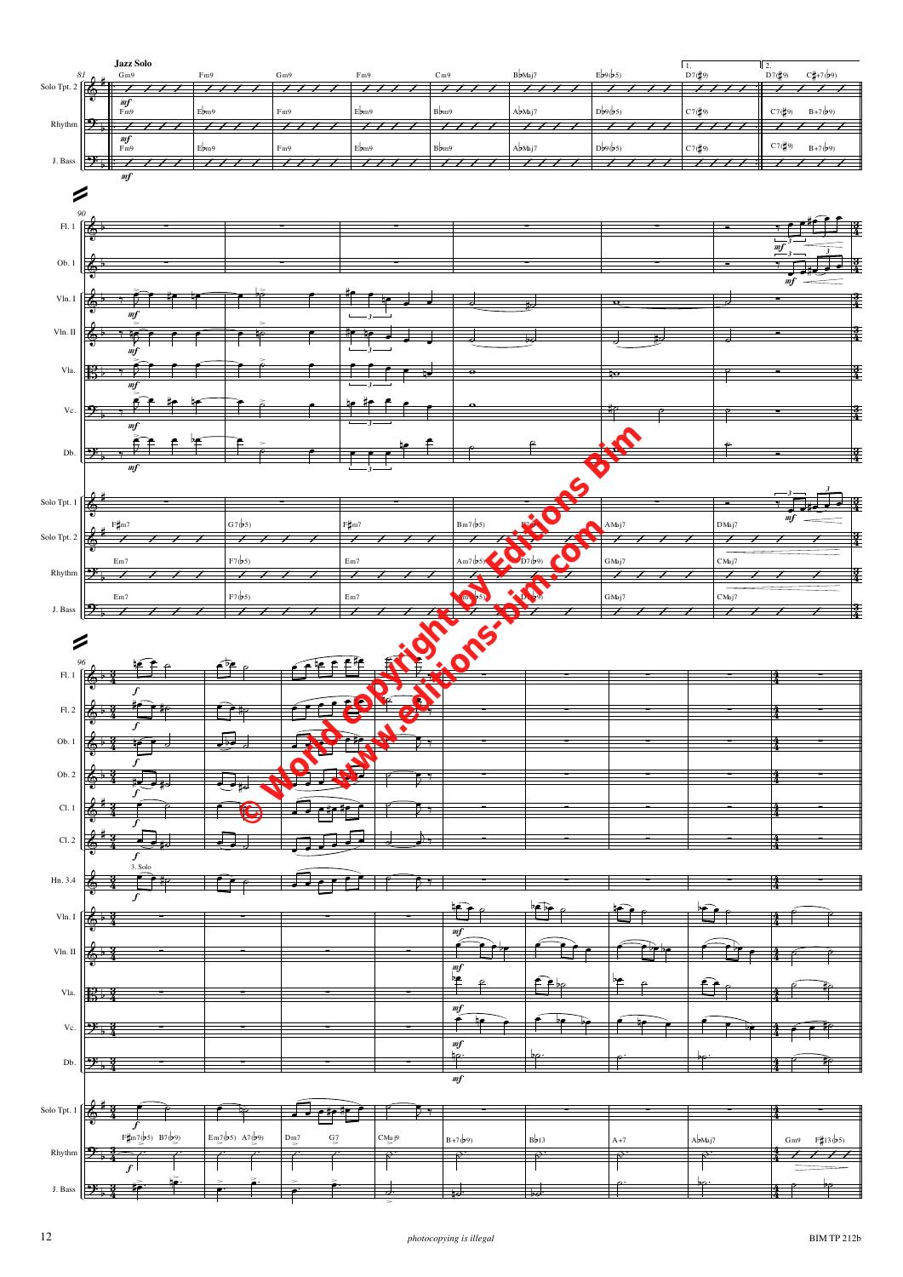